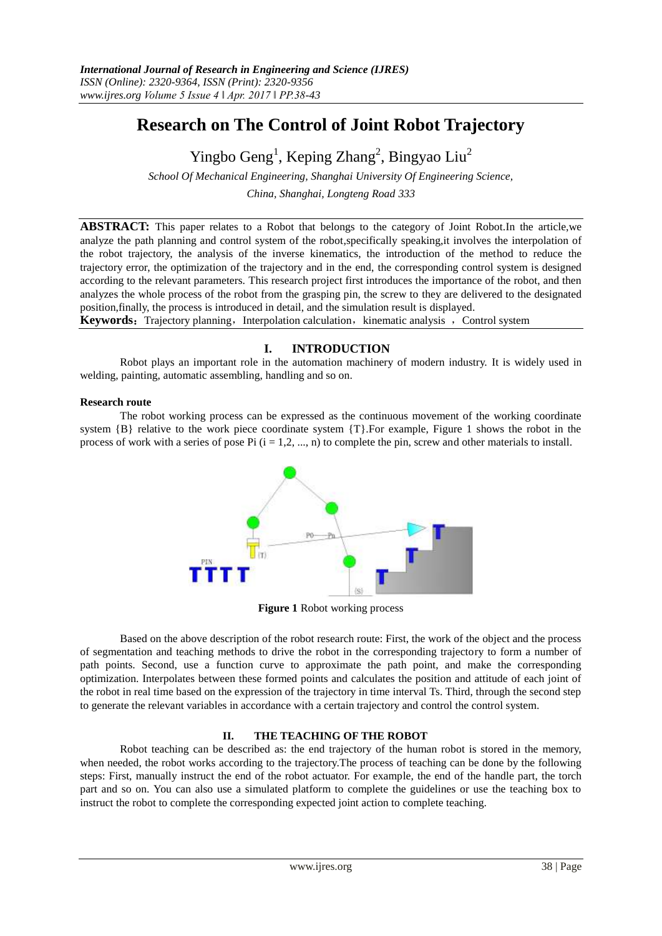# **Research on The Control of Joint Robot Trajectory**

Yingbo Geng<sup>1</sup>, Keping Zhang<sup>2</sup>, Bingyao Liu<sup>2</sup>

*School Of Mechanical Engineering, Shanghai University Of Engineering Science, China, Shanghai, Longteng Road 333*

**ABSTRACT:** This paper relates to a Robot that belongs to the category of Joint Robot.In the article,we analyze the path planning and control system of the robot,specifically speaking,it involves the interpolation of the robot trajectory, the analysis of the inverse kinematics, the introduction of the method to reduce the trajectory error, the optimization of the trajectory and in the end, the corresponding control system is designed according to the relevant parameters. This research project first introduces the importance of the robot, and then analyzes the whole process of the robot from the grasping pin, the screw to they are delivered to the designated position,finally, the process is introduced in detail, and the simulation result is displayed.

**Keywords:** Trajectory planning, Interpolation calculation, kinematic analysis , Control system

# **I. INTRODUCTION**

Robot plays an important role in the automation machinery of modern industry. It is widely used in welding, painting, automatic assembling, handling and so on.

#### **Research route**

The robot working process can be expressed as the continuous movement of the working coordinate system  ${B}$  relative to the work piece coordinate system  ${T}$ . For example, Figure 1 shows the robot in the process of work with a series of pose Pi  $(i = 1, 2, ..., n)$  to complete the pin, screw and other materials to install.



**Figure 1** Robot working process

Based on the above description of the robot research route: First, the work of the object and the process of segmentation and teaching methods to drive the robot in the corresponding trajectory to form a number of path points. Second, use a function curve to approximate the path point, and make the corresponding optimization. Interpolates between these formed points and calculates the position and attitude of each joint of the robot in real time based on the expression of the trajectory in time interval Ts. Third, through the second step to generate the relevant variables in accordance with a certain trajectory and control the control system.

## **II. THE TEACHING OF THE ROBOT**

Robot teaching can be described as: the end trajectory of the human robot is stored in the memory, when needed, the robot works according to the trajectory.The process of teaching can be done by the following steps: First, manually instruct the end of the robot actuator. For example, the end of the handle part, the torch part and so on. You can also use a simulated platform to complete the guidelines or use the teaching box to instruct the robot to complete the corresponding expected joint action to complete teaching.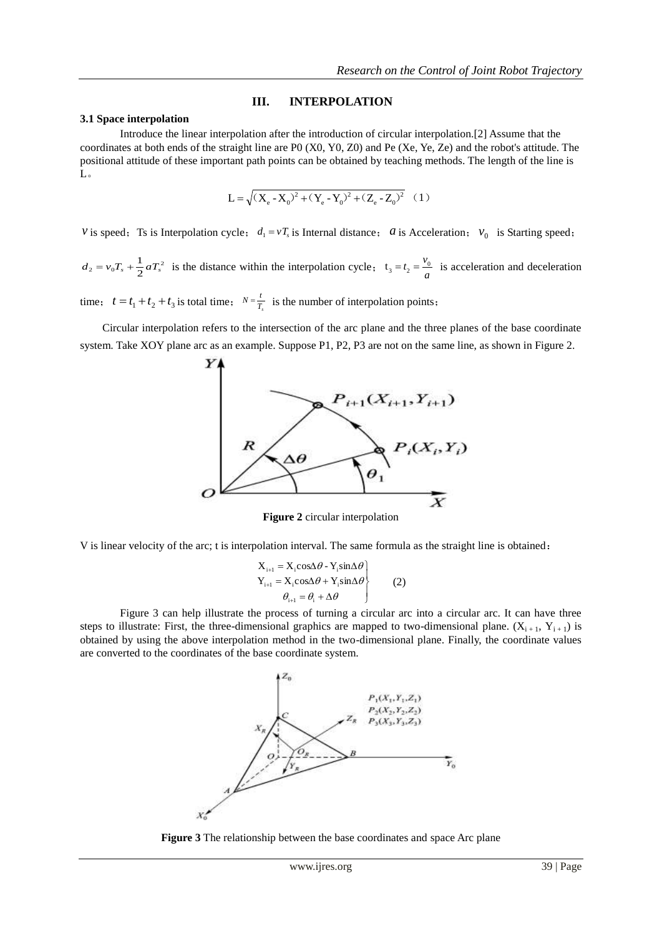#### **III. INTERPOLATION**

#### **3.1 Space interpolation**

Introduce the linear interpolation after the introduction of circular interpolation.[2] Assume that the coordinates at both ends of the straight line are P0 (X0, Y0, Z0) and Pe (Xe, Ye, Ze) and the robot's attitude. The positional attitude of these important path points can be obtained by teaching methods. The length of the line is L。

$$
L = \sqrt{(X_e - X_0)^2 + (Y_e - Y_0)^2 + (Z_e - Z_0)^2}
$$
 (1)

*v* is speed; Ts is Interpolation cycle;  $d_1 = vT_s$  is Internal distance; *a* is Acceleration; *v*<sub>0</sub> is Starting speed;

 $v_0 T_s + \frac{1}{2} a T_s^2$  $d_2 = v_0 T_s + \frac{1}{2} a T_s^2$  is the distance within the interpolation cycle;  $t_3 = t_2 = \frac{v_0}{a}$  $t_3 = t_2 = \frac{v_0}{v_0}$  is acceleration and deceleration

time;  $t = t_1 + t_2 + t_3$  is total time;  $N = \frac{t}{T_s}$  is the number of interpolation points;

 Circular interpolation refers to the intersection of the arc plane and the three planes of the base coordinate system. Take XOY plane arc as an example. Suppose P1, P2, P3 are not on the same line, as shown in Figure 2.



**Figure 2** circular interpolation

V is linear velocity of the arc; t is interpolation interval. The same formula as the straight line is obtained:

$$
X_{i+1} = X_i \cos\Delta\theta - Y_i \sin\Delta\theta
$$
  
\n
$$
Y_{i+1} = X_i \cos\Delta\theta + Y_i \sin\Delta\theta
$$
  
\n
$$
\theta_{i+1} = \theta_i + \Delta\theta
$$
 (2)

Figure 3 can help illustrate the process of turning a circular arc into a circular arc. It can have three steps to illustrate: First, the three-dimensional graphics are mapped to two-dimensional plane.  $(X_{i+1}, Y_{i+1})$  is obtained by using the above interpolation method in the two-dimensional plane. Finally, the coordinate values are converted to the coordinates of the base coordinate system.



**Figure 3** The relationship between the base coordinates and space Arc plane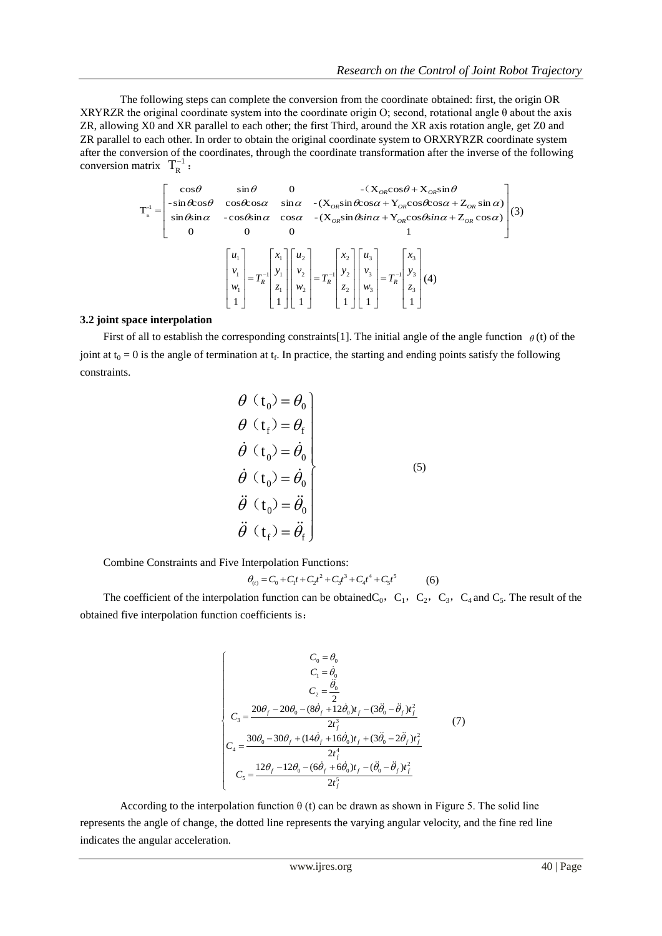The following steps can complete the conversion from the coordinate obtained: first, the origin OR XRYRZR the original coordinate system into the coordinate origin O; second, rotational angle θ about the axis ZR, allowing X0 and XR parallel to each other; the first Third, around the XR axis rotation angle, get Z0 and ZR parallel to each other. In order to obtain the original coordinate system to ORXRYRZR coordinate system after the conversion of the coordinates, through the coordinate transformation after the inverse of the following conversion matrix  $T_R^{-1}$ :

$$
T_{R}^{-1} = \begin{bmatrix} \cos\theta & \sin\theta & 0 & -(\mathbf{X}_{OR}\cos\theta + \mathbf{X}_{OR}\sin\theta \\ -\sin\theta\cos\theta & \cos\theta\cos\alpha & \sin\alpha & -(\mathbf{X}_{OR}\sin\theta\cos\alpha + \mathbf{Y}_{OR}\cos\theta\cos\alpha + \mathbf{Z}_{OR}\sin\alpha) \\ \sin\theta\sin\alpha & -\cos\theta\sin\alpha & \cos\alpha & -(\mathbf{X}_{OR}\sin\theta\sin\alpha + \mathbf{Y}_{OR}\cos\theta\sin\alpha + \mathbf{Z}_{OR}\cos\alpha) \\ 0 & 0 & 0 & 1 \end{bmatrix} (3)
$$
\n
$$
\begin{bmatrix} u_{1} \\ v_{1} \\ w_{1} \\ 1 \end{bmatrix} = T_{R}^{-1} \begin{bmatrix} x_{1} \\ y_{1} \\ z_{1} \\ 1 \end{bmatrix} \begin{bmatrix} u_{2} \\ v_{2} \\ u_{2} \\ 1 \end{bmatrix} = T_{R}^{-1} \begin{bmatrix} x_{2} \\ y_{2} \\ z_{2} \\ 1 \end{bmatrix} \begin{bmatrix} u_{3} \\ v_{3} \\ u_{3} \\ 1 \end{bmatrix} = T_{R}^{-1} \begin{bmatrix} x_{3} \\ y_{3} \\ z_{4} \\ 1 \end{bmatrix} (4)
$$

#### **3.2 joint space interpolation**

First of all to establish the corresponding constraints [1]. The initial angle of the angle function  $\theta$  (t) of the joint at  $t_0 = 0$  is the angle of termination at  $t_f$ . In practice, the starting and ending points satisfy the following constraints.

$$
\begin{aligned}\n\theta \ (t_0) &= \theta_0 \\
\theta \ (t_f) &= \theta_f \\
\dot{\theta} \ (t_0) &= \dot{\theta}_0 \\
\dot{\theta} \ (t_0) &= \dot{\theta}_0 \\
\ddot{\theta} \ (t_0) &= \ddot{\theta}_0 \\
\ddot{\theta} \ (t_f) &= \ddot{\theta}_f\n\end{aligned}
$$
\n(5)

Combine Constraints and Five Interpolation Functions:

$$
\theta_{(t)} = C_0 + C_1 t + C_2 t^2 + C_3 t^3 + C_4 t^4 + C_5 t^5 \tag{6}
$$

The coefficient of the interpolation function can be obtained  $C_0$ ,  $C_1$ ,  $C_2$ ,  $C_3$ ,  $C_4$  and  $C_5$ . The result of the obtained five interpolation function coefficients is:

$$
\begin{cases}\nC_0 = \theta_0 \\
C_1 = \dot{\theta}_0 \\
C_2 = \frac{\ddot{\theta}_0}{2} \\
C_3 = \frac{20\theta_f - 20\theta_0 - (8\dot{\theta}_f + 12\dot{\theta}_0)t_f - (3\ddot{\theta}_0 - \ddot{\theta}_f)t_f^2}{2t_f^3}\n\end{cases}
$$
\n(7)\n
$$
C_4 = \frac{30\theta_0 - 30\theta_f + (14\dot{\theta}_f + 16\dot{\theta}_0)t_f + (3\ddot{\theta}_0 - 2\ddot{\theta}_f)t_f^2}{2t_f^4}\n\end{cases}
$$
\n(7)

According to the interpolation function  $\theta$  (t) can be drawn as shown in Figure 5. The solid line represents the angle of change, the dotted line represents the varying angular velocity, and the fine red line indicates the angular acceleration.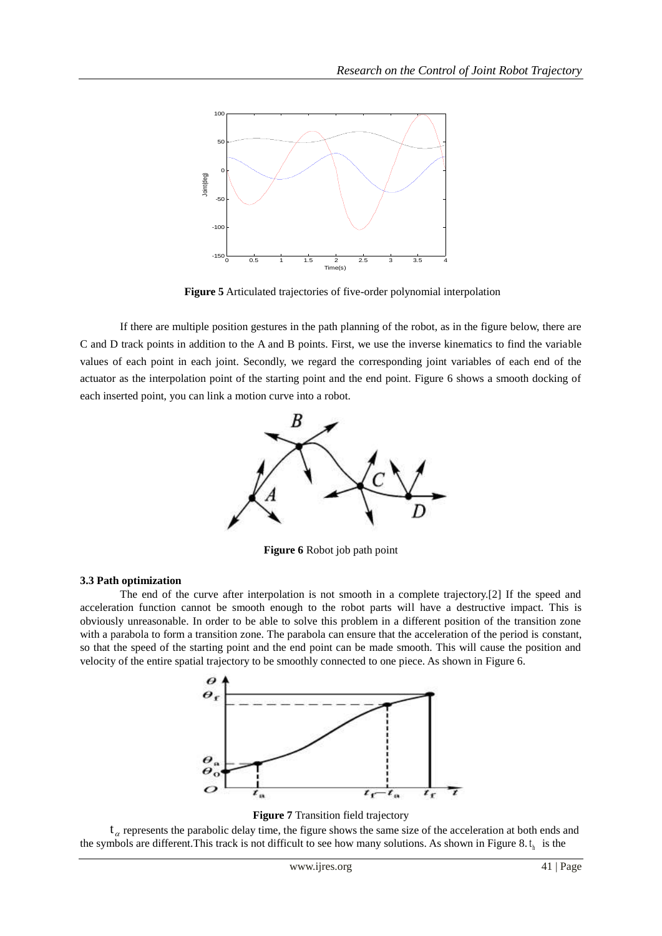

**Figure 5** Articulated trajectories of five-order polynomial interpolation

If there are multiple position gestures in the path planning of the robot, as in the figure below, there are C and D track points in addition to the A and B points. First, we use the inverse kinematics to find the variable values of each point in each joint. Secondly, we regard the corresponding joint variables of each end of the actuator as the interpolation point of the starting point and the end point. Figure 6 shows a smooth docking of each inserted point, you can link a motion curve into a robot.



**Figure 6** Robot job path point

#### **3.3 Path optimization**

The end of the curve after interpolation is not smooth in a complete trajectory.[2] If the speed and acceleration function cannot be smooth enough to the robot parts will have a destructive impact. This is obviously unreasonable. In order to be able to solve this problem in a different position of the transition zone with a parabola to form a transition zone. The parabola can ensure that the acceleration of the period is constant, so that the speed of the starting point and the end point can be made smooth. This will cause the position and velocity of the entire spatial trajectory to be smoothly connected to one piece. As shown in Figure 6.





 $t_a$  represents the parabolic delay time, the figure shows the same size of the acceleration at both ends and the symbols are different. This track is not difficult to see how many solutions. As shown in Figure 8. $t<sub>h</sub>$  is the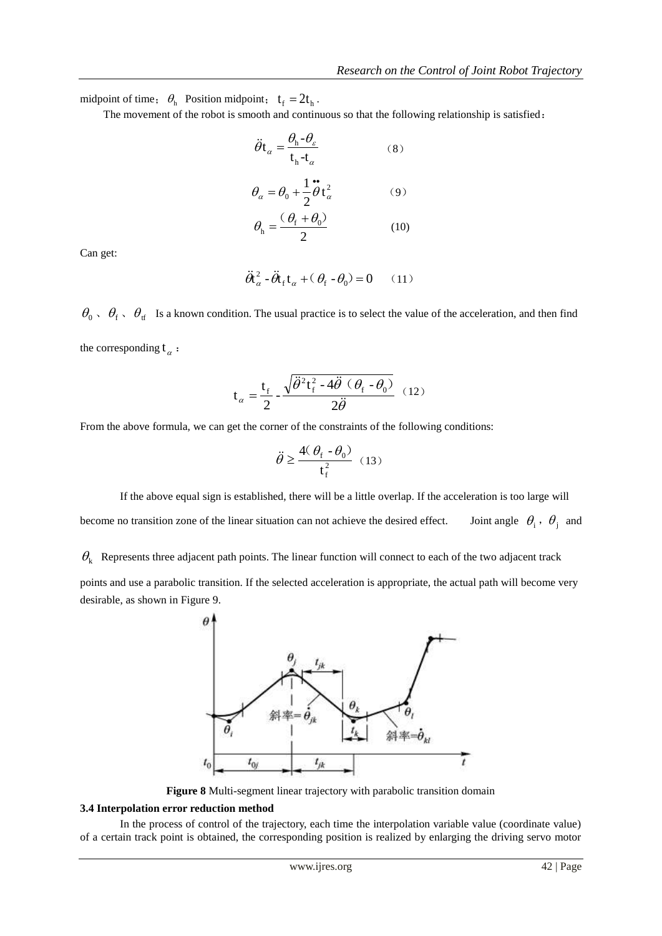midpoint of time;  $\theta_h$  Position midpoint;  $t_f = 2t_h$ .

The movement of the robot is smooth and continuous so that the following relationship is satisfied:

$$
\ddot{\theta}t_{\alpha} = \frac{\theta_{h} - \theta_{\varepsilon}}{t_{h} - t_{\alpha}} \tag{8}
$$

$$
\theta_{\alpha} = \theta_0 + \frac{1}{2}\vec{\theta}t_{\alpha}^2 \tag{9}
$$

$$
\theta_{\rm h} = \frac{(\theta_{\rm f} + \theta_0)}{2} \tag{10}
$$

Can get:

$$
\ddot{\theta}_{\alpha}^{2} - \ddot{\theta}_{\text{f}} t_{\alpha} + (\theta_{\text{f}} - \theta_{0}) = 0 \qquad (11)
$$

 $\theta_0$ ,  $\theta_f$ ,  $\theta_{tf}$  Is a known condition. The usual practice is to select the value of the acceleration, and then find the corresponding  $t_{\alpha}$ :

$$
\mathbf{t}_{\alpha} = \frac{\mathbf{t}_{\rm f}}{2} - \frac{\sqrt{\ddot{\theta}^2 \mathbf{t}_{\rm f}^2 - 4 \ddot{\theta} \ (\theta_{\rm f} - \theta_0)}}{2 \ddot{\theta}} \tag{12}
$$

From the above formula, we can get the corner of the constraints of the following conditions:

$$
\ddot{\theta} \ge \frac{4(\theta_{\rm f} - \theta_{\rm 0})}{t_{\rm f}^2} (13)
$$

If the above equal sign is established, there will be a little overlap. If the acceleration is too large will become no transition zone of the linear situation can not achieve the desired effect.  $\theta_i$ ,  $\theta_j$  and

 $\theta_k$  Represents three adjacent path points. The linear function will connect to each of the two adjacent track

points and use a parabolic transition. If the selected acceleration is appropriate, the actual path will become very desirable, as shown in Figure 9.



**Figure 8** Multi-segment linear trajectory with parabolic transition domain

#### **3.4 Interpolation error reduction method**

In the process of control of the trajectory, each time the interpolation variable value (coordinate value) of a certain track point is obtained, the corresponding position is realized by enlarging the driving servo motor